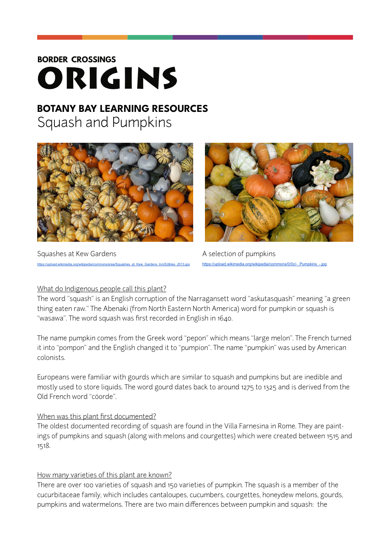# **BORDER CROSSINGS** ORIGINS

# **BOTANY BAY LEARNING RESOURCES**  Squash and Pumpkins



Squashes at Kew Gardens A selection of pumpkins



 $\mu$ upload.wikimedia.org/wikipedia/commons/0/0c/-\_Pumpkins

#### What do Indigenous people call this plant?

The word "squash" is an English corruption of the Narragansett word "askutasquash" meaning "a green thing eaten raw." The Abenaki (from North Eastern North America) word for pumpkin or squash is "wasawa". The word squash was first recorded in English in 1640.

The name pumpkin comes from the Greek word "pepon" which means "large melon". The French turned it into "pompon" and the English changed it to "pumpion". The name "pumpkin" was used by American colonists.

Europeans were familiar with gourds which are similar to squash and pumpkins but are inedible and mostly used to store liquids. The word gourd dates back to around 1275 to 1325 and is derived from the Old French word "cöorde".

# When was this plant first documented?

The oldest documented recording of squash are found in the Villa Farnesina in Rome. They are paintings of pumpkins and squash (along with melons and courgettes) which were created between 1515 and 1518.

# How many varieties of this plant are known?

There are over 100 varieties of squash and 150 varieties of pumpkin. The squash is a member of the cucurbitaceae family, which includes cantaloupes, cucumbers, courgettes, honeydew melons, gourds, pumpkins and watermelons. There are two main differences between pumpkin and squash: the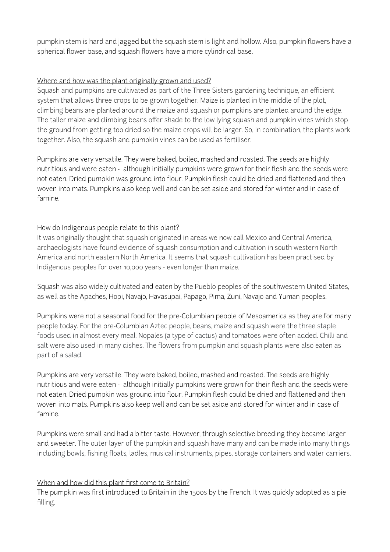pumpkin stem is hard and jagged but the squash stem is light and hollow. Also, pumpkin flowers have a spherical flower base, and squash flowers have a more cylindrical base.

### Where and how was the plant originally grown and used?

Squash and pumpkins are cultivated as part of the Three Sisters gardening technique, an efficient system that allows three crops to be grown together. Maize is planted in the middle of the plot, climbing beans are planted around the maize and squash or pumpkins are planted around the edge. The taller maize and climbing beans offer shade to the low lying squash and pumpkin vines which stop the ground from getting too dried so the maize crops will be larger. So, in combination, the plants work together. Also, the squash and pumpkin vines can be used as fertiliser.

Pumpkins are very versatile. They were baked, boiled, mashed and roasted. The seeds are highly nutritious and were eaten - although initially pumpkins were grown for their flesh and the seeds were not eaten. Dried pumpkin was ground into flour. Pumpkin flesh could be dried and flattened and then woven into mats. Pumpkins also keep well and can be set aside and stored for winter and in case of famine.

### How do Indigenous people relate to this plant?

It was originally thought that squash originated in areas we now call Mexico and Central America, archaeologists have found evidence of squash consumption and cultivation in south western North America and north eastern North America. It seems that squash cultivation has been practised by Indigenous peoples for over 10,000 years - even longer than maize.

Squash was also widely cultivated and eaten by the Pueblo peoples of the southwestern United States, as well as the Apaches, Hopi, Navajo, Havasupai, Papago, Pima, Zuni, Navajo and Yuman peoples.

Pumpkins were not a seasonal food for the pre-Columbian people of Mesoamerica as they are for many people today. For the pre-Columbian Aztec people, beans, maize and squash were the three staple foods used in almost every meal. Nopales (a type of cactus) and tomatoes were often added. Chilli and salt were also used in many dishes. The flowers from pumpkin and squash plants were also eaten as part of a salad.

Pumpkins are very versatile. They were baked, boiled, mashed and roasted. The seeds are highly nutritious and were eaten - although initially pumpkins were grown for their flesh and the seeds were not eaten. Dried pumpkin was ground into flour. Pumpkin flesh could be dried and flattened and then woven into mats. Pumpkins also keep well and can be set aside and stored for winter and in case of famine.

Pumpkins were small and had a bitter taste. However, through selective breeding they became larger and sweeter. The outer layer of the pumpkin and squash have many and can be made into many things including bowls, fishing floats, ladles, musical instruments, pipes, storage containers and water carriers.

#### When and how did this plant first come to Britain?

The pumpkin was first introduced to Britain in the 1500s by the French. It was quickly adopted as a pie filling.